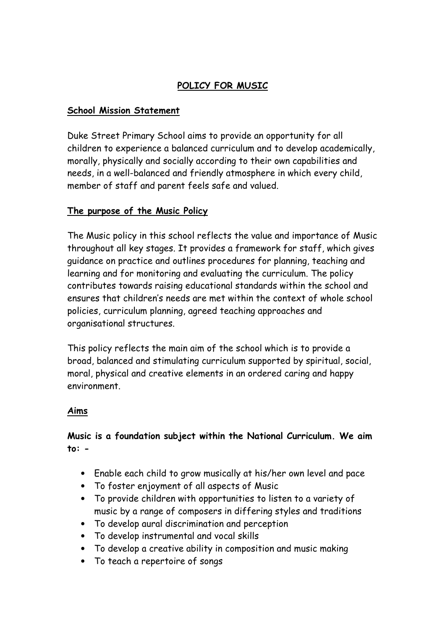# POLICY FOR MUSIC

### School Mission Statement

Duke Street Primary School aims to provide an opportunity for all children to experience a balanced curriculum and to develop academically, morally, physically and socially according to their own capabilities and needs, in a well-balanced and friendly atmosphere in which every child, member of staff and parent feels safe and valued.

## The purpose of the Music Policy

The Music policy in this school reflects the value and importance of Music throughout all key stages. It provides a framework for staff, which gives guidance on practice and outlines procedures for planning, teaching and learning and for monitoring and evaluating the curriculum. The policy contributes towards raising educational standards within the school and ensures that children's needs are met within the context of whole school policies, curriculum planning, agreed teaching approaches and organisational structures.

This policy reflects the main aim of the school which is to provide a broad, balanced and stimulating curriculum supported by spiritual, social, moral, physical and creative elements in an ordered caring and happy environment.

### Aims

# Music is a foundation subject within the National Curriculum. We aim to: -

- Enable each child to grow musically at his/her own level and pace
- To foster enjoyment of all aspects of Music
- To provide children with opportunities to listen to a variety of music by a range of composers in differing styles and traditions
- To develop aural discrimination and perception
- To develop instrumental and vocal skills
- To develop a creative ability in composition and music making
- To teach a repertoire of songs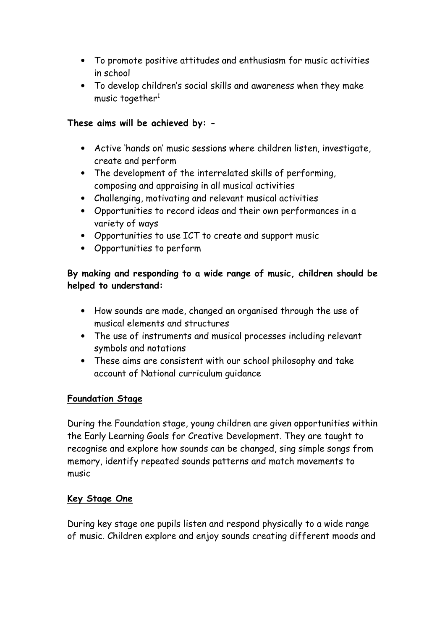- To promote positive attitudes and enthusiasm for music activities in school
- To develop children's social skills and awareness when they make music together<sup>1</sup>

#### These aims will be achieved by: -

- Active 'hands on' music sessions where children listen, investigate, create and perform
- The development of the interrelated skills of performing, composing and appraising in all musical activities
- Challenging, motivating and relevant musical activities
- Opportunities to record ideas and their own performances in a variety of ways
- Opportunities to use ICT to create and support music
- Opportunities to perform

By making and responding to a wide range of music, children should be helped to understand:

- How sounds are made, changed an organised through the use of musical elements and structures
- The use of instruments and musical processes including relevant symbols and notations
- These aims are consistent with our school philosophy and take account of National curriculum guidance

### Foundation Stage

During the Foundation stage, young children are given opportunities within the Early Learning Goals for Creative Development. They are taught to recognise and explore how sounds can be changed, sing simple songs from memory, identify repeated sounds patterns and match movements to music

### Key Stage One

 $\overline{a}$ 

During key stage one pupils listen and respond physically to a wide range of music. Children explore and enjoy sounds creating different moods and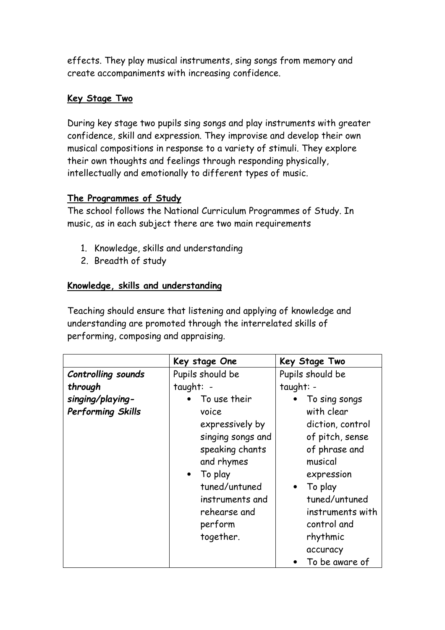effects. They play musical instruments, sing songs from memory and create accompaniments with increasing confidence.

#### Key Stage Two

During key stage two pupils sing songs and play instruments with greater confidence, skill and expression. They improvise and develop their own musical compositions in response to a variety of stimuli. They explore their own thoughts and feelings through responding physically, intellectually and emotionally to different types of music.

#### The Programmes of Study

The school follows the National Curriculum Programmes of Study. In music, as in each subject there are two main requirements

- 1. Knowledge, skills and understanding
- 2. Breadth of study

### Knowledge, skills and understanding

Teaching should ensure that listening and applying of knowledge and understanding are promoted through the interrelated skills of performing, composing and appraising.

|                          | Key stage One        | Key Stage Two        |
|--------------------------|----------------------|----------------------|
| Controlling sounds       | Pupils should be     | Pupils should be     |
| through                  | taught: -            | taught: -            |
| singing/playing-         | To use their         | To sing songs        |
| <b>Performing Skills</b> | voice                | with clear           |
|                          | expressively by      | diction, control     |
|                          | singing songs and    | of pitch, sense      |
|                          | speaking chants      | of phrase and        |
|                          | and rhymes           | musical              |
|                          | To play<br>$\bullet$ | expression           |
|                          | tuned/untuned        | To play<br>$\bullet$ |
|                          | instruments and      | tuned/untuned        |
|                          | rehearse and         | instruments with     |
|                          | perform              | control and          |
|                          | together.            | rhythmic             |
|                          |                      | accuracy             |
|                          |                      | To be aware of       |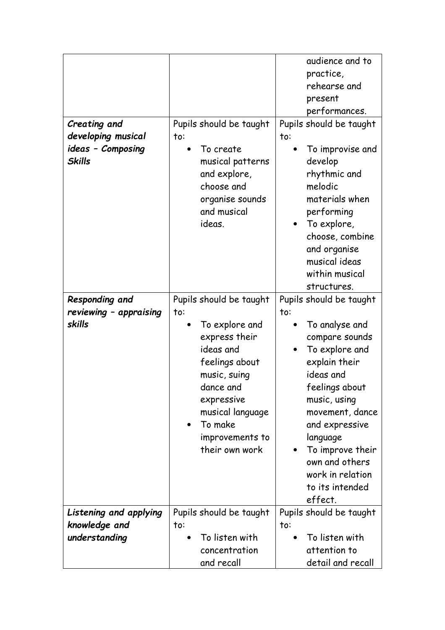|                                                                          |                                                                                                                                                                               | audience and to                                                                                                                                                                                                                                                          |
|--------------------------------------------------------------------------|-------------------------------------------------------------------------------------------------------------------------------------------------------------------------------|--------------------------------------------------------------------------------------------------------------------------------------------------------------------------------------------------------------------------------------------------------------------------|
|                                                                          |                                                                                                                                                                               | practice,                                                                                                                                                                                                                                                                |
|                                                                          |                                                                                                                                                                               | rehearse and                                                                                                                                                                                                                                                             |
|                                                                          |                                                                                                                                                                               | present                                                                                                                                                                                                                                                                  |
|                                                                          |                                                                                                                                                                               | performances.                                                                                                                                                                                                                                                            |
| Creating and<br>developing musical<br>ideas - Composing<br><b>Skills</b> | Pupils should be taught<br>to:<br>To create<br>musical patterns<br>and explore,<br>choose and<br>organise sounds                                                              | Pupils should be taught<br>to:<br>To improvise and<br>develop<br>rhythmic and<br>melodic<br>materials when                                                                                                                                                               |
|                                                                          | and musical<br>ideas.                                                                                                                                                         | performing<br>To explore,<br>$\bullet$<br>choose, combine<br>and organise<br>musical ideas<br>within musical<br>structures.                                                                                                                                              |
| Responding and                                                           | Pupils should be taught                                                                                                                                                       | Pupils should be taught                                                                                                                                                                                                                                                  |
| reviewing - appraising                                                   | to:                                                                                                                                                                           | to:                                                                                                                                                                                                                                                                      |
| skills                                                                   | To explore and<br>express their<br>ideas and<br>feelings about<br>music, suing<br>dance and<br>expressive<br>musical language<br>To make<br>improvements to<br>their own work | To analyse and<br>compare sounds<br>To explore and<br>$\bullet$<br>explain their<br>ideas and<br>feelings about<br>music, using<br>movement, dance<br>and expressive<br>language<br>To improve their<br>own and others<br>work in relation<br>to its intended<br>effect. |
| Listening and applying                                                   | Pupils should be taught                                                                                                                                                       | Pupils should be taught                                                                                                                                                                                                                                                  |
| knowledge and                                                            | to:                                                                                                                                                                           | to:                                                                                                                                                                                                                                                                      |
| understanding                                                            | To listen with                                                                                                                                                                | To listen with                                                                                                                                                                                                                                                           |
|                                                                          | concentration                                                                                                                                                                 | attention to                                                                                                                                                                                                                                                             |
|                                                                          | and recall                                                                                                                                                                    | detail and recall                                                                                                                                                                                                                                                        |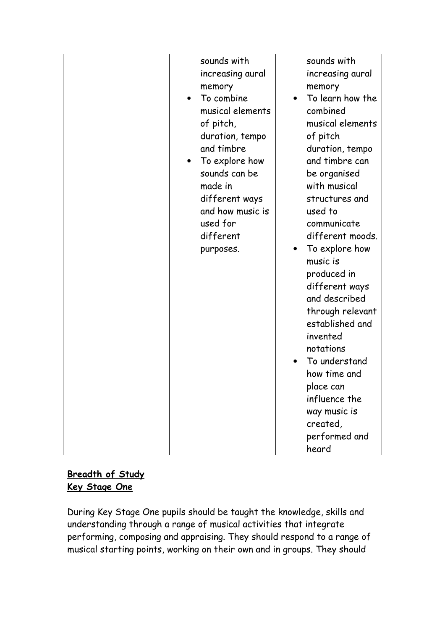# Breadth of Study Key Stage One

During Key Stage One pupils should be taught the knowledge, skills and understanding through a range of musical activities that integrate performing, composing and appraising. They should respond to a range of musical starting points, working on their own and in groups. They should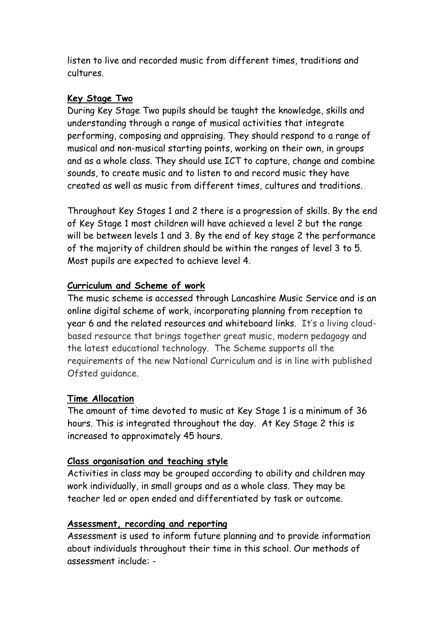listen to live and recorded music from different times, traditions and cultures.

### Key Stage Two

During Key Stage Two pupils should be taught the knowledge, skills and understanding through a range of musical activities that integrate performing, composing and appraising. They should respond to a range of musical and non-musical starting points, working on their own, in groups and as a whole class. They should use ICT to capture, change and combine sounds, to create music and to listen to and record music they have created as well as music from different times, cultures and traditions.

Throughout Key Stages 1 and 2 there is a progression of skills. By the end of Key Stage 1 most children will have achieved a level 2 but the range will be between levels 1 and 3. By the end of key stage 2 the performance of the majority of children should be within the ranges of level 3 to 5. Most pupils are expected to achieve level 4.

### Curriculum and Scheme of work

The music scheme is accessed through Lancashire Music Service and is an online digital scheme of work, incorporating planning from reception to year 6 and the related resources and whiteboard links. It's a living cloudbased resource that brings together great music, modern pedagogy and the latest educational technology. The Scheme supports all the requirements of the new National Curriculum and is in line with published Ofsted guidance.

### Time Allocation

The amount of time devoted to music at Key Stage 1 is a minimum of 36 hours. This is integrated throughout the day. At Key Stage 2 this is increased to approximately 45 hours.

### Class organisation and teaching style

Activities in class may be grouped according to ability and children may work individually, in small groups and as a whole class. They may be teacher led or open ended and differentiated by task or outcome.

### Assessment, recording and reporting

Assessment is used to inform future planning and to provide information about individuals throughout their time in this school. Our methods of assessment include: -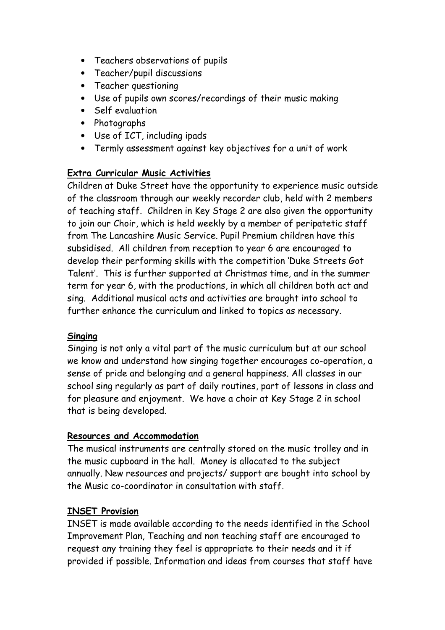- Teachers observations of pupils
- Teacher/pupil discussions
- Teacher questioning
- Use of pupils own scores/recordings of their music making
- Self evaluation
- Photographs
- Use of ICT, including ipads
- Termly assessment against key objectives for a unit of work

## Extra Curricular Music Activities

Children at Duke Street have the opportunity to experience music outside of the classroom through our weekly recorder club, held with 2 members of teaching staff. Children in Key Stage 2 are also given the opportunity to join our Choir, which is held weekly by a member of peripatetic staff from The Lancashire Music Service. Pupil Premium children have this subsidised. All children from reception to year 6 are encouraged to develop their performing skills with the competition 'Duke Streets Got Talent'. This is further supported at Christmas time, and in the summer term for year 6, with the productions, in which all children both act and sing. Additional musical acts and activities are brought into school to further enhance the curriculum and linked to topics as necessary.

### Singing

Singing is not only a vital part of the music curriculum but at our school we know and understand how singing together encourages co-operation, a sense of pride and belonging and a general happiness. All classes in our school sing regularly as part of daily routines, part of lessons in class and for pleasure and enjoyment. We have a choir at Key Stage 2 in school that is being developed.

### Resources and Accommodation

The musical instruments are centrally stored on the music trolley and in the music cupboard in the hall. Money is allocated to the subject annually. New resources and projects/ support are bought into school by the Music co-coordinator in consultation with staff.

# INSET Provision

INSET is made available according to the needs identified in the School Improvement Plan, Teaching and non teaching staff are encouraged to request any training they feel is appropriate to their needs and it if provided if possible. Information and ideas from courses that staff have